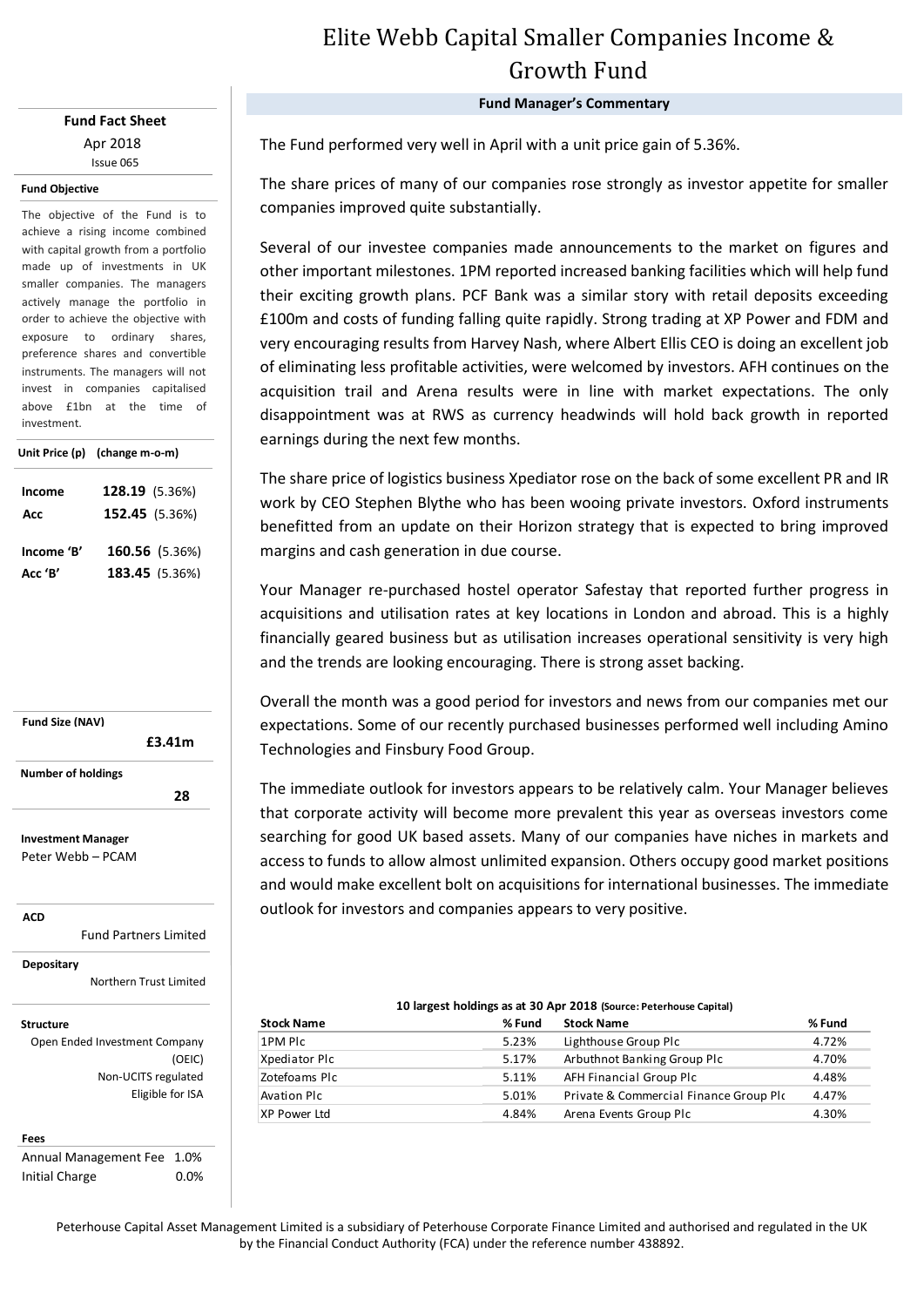### **Fund Fact Sheet** Apr 2018 Issue 065

#### **Fund Objective**

The objective of the Fund is to achieve a rising income combined with capital growth from a portfolio made up of investments in UK smaller companies. The managers actively manage the portfolio in order to achieve the objective with exposure to ordinary shares, preference shares and convertible instruments. The managers will not invest in companies capitalised above £1bn at the time of investment.

|            | Unit Price (p) (change m-o-m) |  |  |  |
|------------|-------------------------------|--|--|--|
| Income     | 128.19 (5.36%)                |  |  |  |
| Acc        | 152.45 (5.36%)                |  |  |  |
| Income 'B' | <b>160.56</b> (5.36%)         |  |  |  |
| Acc 'B'    | <b>183.45</b> (5.36%)         |  |  |  |



Peter Webb – PCAM

**ACD**

Fund Partners Limited

**Depositary**

Northern Trust Limited

**Structure**

Open Ended Investment Company (OEIC) Non-UCITS regulated Eligible for ISA

#### **Fees**

Annual Management Fee 1.0% Initial Charge 0.0%

# Elite Webb Capital Smaller Companies Income & Growth Fund

**Fund Manager's Commentary**

The Fund performed very well in April with a unit price gain of 5.36%.

The share prices of many of our companies rose strongly as investor appetite for smaller companies improved quite substantially.

Several of our investee companies made announcements to the market on figures and other important milestones. 1PM reported increased banking facilities which will help fund their exciting growth plans. PCF Bank was a similar story with retail deposits exceeding £100m and costs of funding falling quite rapidly. Strong trading at XP Power and FDM and very encouraging results from Harvey Nash, where Albert Ellis CEO is doing an excellent job of eliminating less profitable activities, were welcomed by investors. AFH continues on the acquisition trail and Arena results were in line with market expectations. The only disappointment was at RWS as currency headwinds will hold back growth in reported earnings during the next few months.

The share price of logistics business Xpediator rose on the back of some excellent PR and IR work by CEO Stephen Blythe who has been wooing private investors. Oxford instruments benefitted from an update on their Horizon strategy that is expected to bring improved margins and cash generation in due course.

Your Manager re-purchased hostel operator Safestay that reported further progress in acquisitions and utilisation rates at key locations in London and abroad. This is a highly financially geared business but as utilisation increases operational sensitivity is very high and the trends are looking encouraging. There is strong asset backing.

Overall the month was a good period for investors and news from our companies met our expectations. Some of our recently purchased businesses performed well including Amino Technologies and Finsbury Food Group.

The immediate outlook for investors appears to be relatively calm. Your Manager believes that corporate activity will become more prevalent this year as overseas investors come searching for good UK based assets. Many of our companies have niches in markets and access to funds to allow almost unlimited expansion. Others occupy good market positions and would make excellent bolt on acquisitions for international businesses. The immediate outlook for investors and companies appears to very positive.

| 10 largest holdings as at 30 Apr 2018 (Source: Peterhouse Capital) |        |                                        |        |  |  |  |
|--------------------------------------------------------------------|--------|----------------------------------------|--------|--|--|--|
| <b>Stock Name</b>                                                  | % Fund | <b>Stock Name</b>                      | % Fund |  |  |  |
| 1PM Plc                                                            | 5.23%  | Lighthouse Group Plc                   | 4.72%  |  |  |  |
| Xpediator Plc                                                      | 5.17%  | Arbuthnot Banking Group Plc            | 4.70%  |  |  |  |
| Zotefoams Plc                                                      | 5.11%  | AFH Financial Group Plc                | 4.48%  |  |  |  |
| <b>Avation PIC</b>                                                 | 5.01%  | Private & Commercial Finance Group Plo | 4.47%  |  |  |  |
| XP Power Ltd                                                       | 4.84%  | Arena Events Group Plc                 | 4.30%  |  |  |  |

Peterhouse Capital Asset Management Limited is a subsidiary of Peterhouse Corporate Finance Limited and authorised and regulated in the UK by the Financial Conduct Authority (FCA) under the reference number 438892.